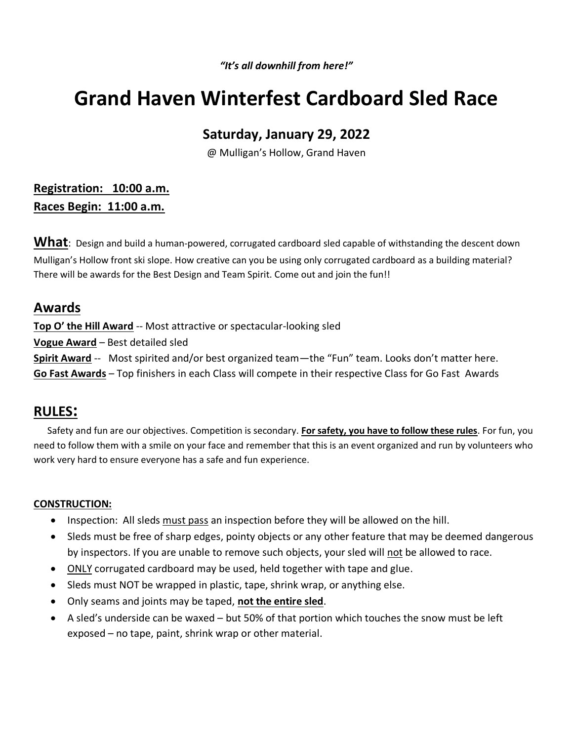*"It's all downhill from here!"*

# **Grand Haven Winterfest Cardboard Sled Race**

## **Saturday, January 29, 2022**

@ Mulligan's Hollow, Grand Haven

## **Registration: 10:00 a.m. Races Begin: 11:00 a.m.**

What: Design and build a human-powered, corrugated cardboard sled capable of withstanding the descent down Mulligan's Hollow front ski slope. How creative can you be using only corrugated cardboard as a building material? There will be awards for the Best Design and Team Spirit. Come out and join the fun!!

## **Awards**

**Top O' the Hill Award** -- Most attractive or spectacular-looking sled

**Vogue Award** – Best detailed sled

**Spirit Award** -- Most spirited and/or best organized team—the "Fun" team. Looks don't matter here.

**Go Fast Awards** – Top finishers in each Class will compete in their respective Class for Go Fast Awards

### **RULES:**

 Safety and fun are our objectives. Competition is secondary. **For safety, you have to follow these rules**. For fun, you need to follow them with a smile on your face and remember that this is an event organized and run by volunteers who work very hard to ensure everyone has a safe and fun experience.

### **CONSTRUCTION:**

- Inspection: All sleds must pass an inspection before they will be allowed on the hill.
- Sleds must be free of sharp edges, pointy objects or any other feature that may be deemed dangerous by inspectors. If you are unable to remove such objects, your sled will not be allowed to race.
- ONLY corrugated cardboard may be used, held together with tape and glue.
- Sleds must NOT be wrapped in plastic, tape, shrink wrap, or anything else.
- Only seams and joints may be taped, **not the entire sled**.
- A sled's underside can be waxed but 50% of that portion which touches the snow must be left exposed – no tape, paint, shrink wrap or other material.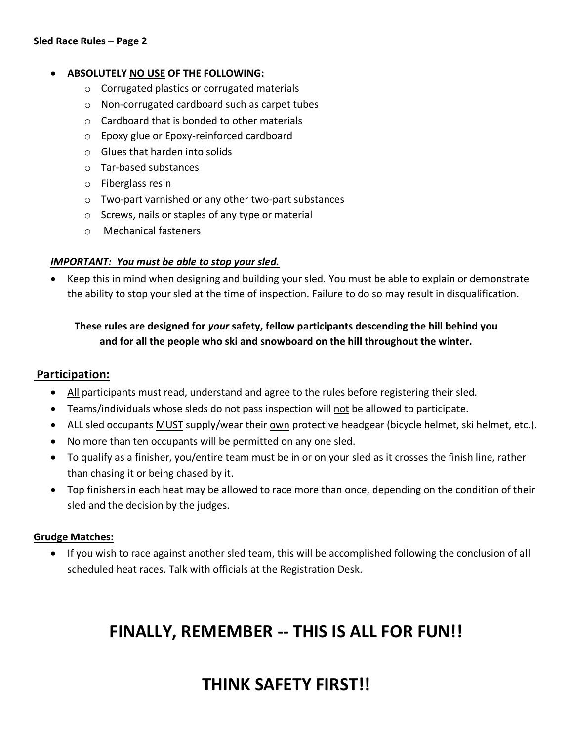#### • **ABSOLUTELY NO USE OF THE FOLLOWING:**

- o Corrugated plastics or corrugated materials
- o Non-corrugated cardboard such as carpet tubes
- o Cardboard that is bonded to other materials
- o Epoxy glue or Epoxy-reinforced cardboard
- o Glues that harden into solids
- o Tar-based substances
- o Fiberglass resin
- o Two-part varnished or any other two-part substances
- o Screws, nails or staples of any type or material
- o Mechanical fasteners

#### *IMPORTANT: You must be able to stop your sled.*

• Keep this in mind when designing and building your sled. You must be able to explain or demonstrate the ability to stop your sled at the time of inspection. Failure to do so may result in disqualification.

### **These rules are designed for** *your* **safety, fellow participants descending the hill behind you and for all the people who ski and snowboard on the hill throughout the winter.**

### **Participation:**

- All participants must read, understand and agree to the rules before registering their sled.
- Teams/individuals whose sleds do not pass inspection will not be allowed to participate.
- ALL sled occupants MUST supply/wear their own protective headgear (bicycle helmet, ski helmet, etc.).
- No more than ten occupants will be permitted on any one sled.
- To qualify as a finisher, you/entire team must be in or on your sled as it crosses the finish line, rather than chasing it or being chased by it.
- Top finishersin each heat may be allowed to race more than once, depending on the condition of their sled and the decision by the judges.

#### **Grudge Matches:**

• If you wish to race against another sled team, this will be accomplished following the conclusion of all scheduled heat races. Talk with officials at the Registration Desk.

# **FINALLY, REMEMBER -- THIS IS ALL FOR FUN!!**

# **THINK SAFETY FIRST!!**